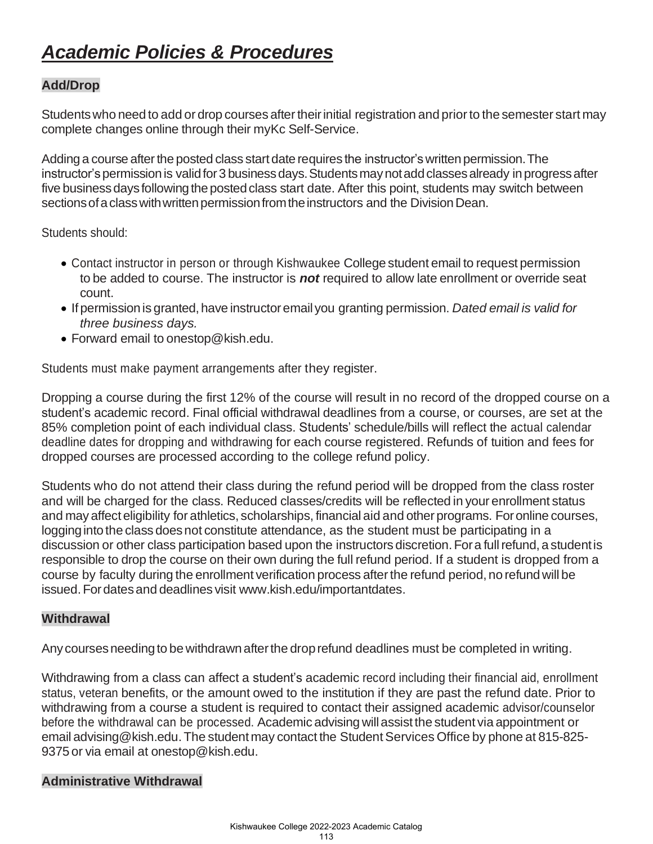# *Academic Policies & Procedures*

# **Add/Drop**

Students who need to add or drop courses after their initial registration and prior to the semester start may complete changes online through their myKc Self-Service.

Adding a course after the posted class start date requires the instructor's written permission. The instructor's permission is valid for 3 business days. Students may not add classes already in progress after five business days following the posted class start date. After this point, students may switch between sections of a class with written permission from the instructors and the Division Dean.

Students should:

- Contact instructor in person or through Kishwaukee College student email to request permission to be added to course. The instructor is *not* required to allow late enrollment or override seat count.
- Ifpermissionis granted, have instructoremail you granting permission. *Dated email is valid for three business days.*
- Forward email to [onestop@kish.edu.](mailto:onestop@kish.edu)

Students must make payment arrangements after they register.

Dropping a course during the first 12% of the course will result in no record of the dropped course on a student's academic record. Final official withdrawal deadlines from a course, or courses, are set at the 85% completion point of each individual class. Students' schedule/bills will reflect the actual calendar deadline dates for dropping and withdrawing for each course registered. Refunds of tuition and fees for dropped courses are processed according to the college refund policy.

Students who do not attend their class during the refund period will be dropped from the class roster and will be charged for the class. Reduced classes/credits will be reflected in your enrollment status and may affect eligibility for athletics, scholarships, financial aid and other programs. Foronline courses, logging into the class does not constitute attendance, as the student must be participating in a discussion or other class participation based upon the instructors discretion. For a full refund, a student is responsible to drop the course on their own during the full refund period. If a student is dropped from a course by faculty during the enrollment verification process afterthe refund period, no refund will be issued. For dates and deadlines visit [www.kish.edu/importantdates.](http://www.kish.edu/importantdates)

# **Withdrawal**

Any courses needing to be withdrawn after the drop refund deadlines must be completed in writing.

Withdrawing from a class can affect a student's academic record including their financial aid, enrollment status, veteran benefits, or the amount owed to the institution if they are past the refund date. Prior to withdrawing from a course a student is required to contact their assigned academic advisor/counselor before the withdrawal can be processed. Academic advising willassist the student via appointment or email advising@kish.edu. The student may contact the Student Services Office by phone at 815-825-9375 or via email at [onestop@kish.edu.](mailto:onestop@kish.edu)

## **Administrative Withdrawal**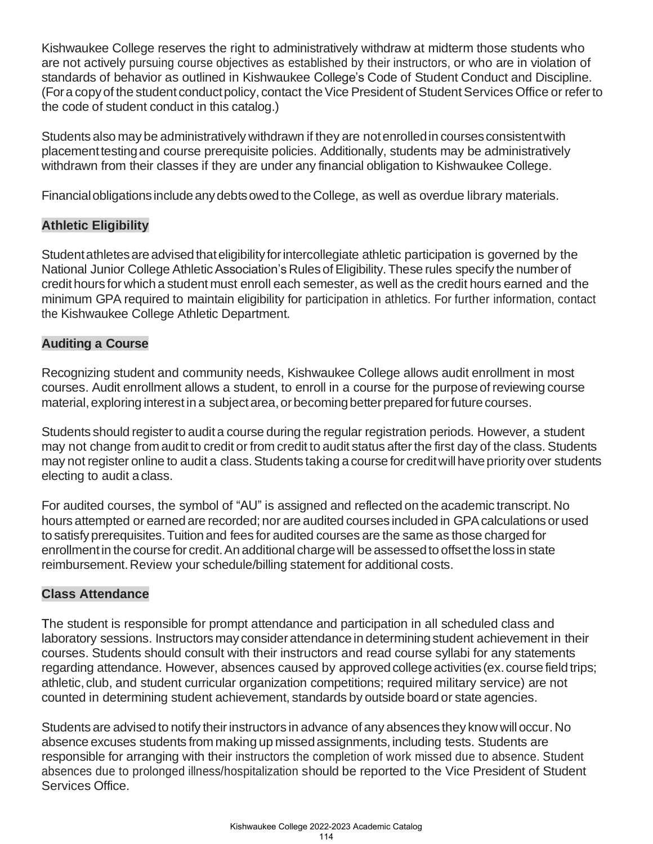Kishwaukee College reserves the right to administratively withdraw at midterm those students who are not actively pursuing course objectives as established by their instructors, or who are in violation of standards of behavior as outlined in Kishwaukee College's Code of Student Conduct and Discipline. (For a copy of the student conduct policy, contact the Vice President of Student Services Office or refer to the code of student conduct in this catalog.)

Students also may be administratively withdrawn if they are notenrolledin courses consistentwith placementtestingand course prerequisite policies. Additionally, students may be administratively withdrawn from their classes if they are under any financial obligation to Kishwaukee College.

Financial obligations include any debts owed to the College, as well as overdue library materials.

## **Athletic Eligibility**

Student athletes are advised that eligibility for intercollegiate athletic participation is governed by the National Junior College Athletic Association's Rules of Eligibility. These rules specify the number of credit hours for which a student must enroll each semester, as well as the credit hours earned and the minimum GPA required to maintain eligibility for participation in athletics. For further information, contact the Kishwaukee College Athletic Department.

## **Auditing a Course**

Recognizing student and community needs, Kishwaukee College allows audit enrollment in most courses. Audit enrollment allows a student, to enroll in a course for the purpose of reviewing course material, exploring interest in a subject area, or becoming better prepared for future courses.

Students should register to audita course during the regular registration periods. However, a student may not change from audit to credit or from credit to audit status after the first day of the class. Students may not register online to audit a class. Students taking a course for credit will have priority over students electing to audit aclass.

For audited courses, the symbol of "AU" is assigned and reflected on the academic transcript.No hours attempted or earned are recorded; nor are audited courses included in GPAcalculations or used to satisfy prerequisites.Tuition and fees for audited courses are the same as those charged for enrollmentin the course for credit.An additional chargewill be assessedto offsettheloss in state reimbursement.Review your schedule/billing statement for additional costs.

## **Class Attendance**

The student is responsible for prompt attendance and participation in all scheduled class and laboratory sessions. Instructors may consider attendance in determining student achievement in their courses. Students should consult with their instructors and read course syllabi for any statements regarding attendance. However, absences caused by approved college activities (ex. course field trips; athletic, club, and student curricular organization competitions; required military service) are not counted in determining student achievement, standards by outside board or state agencies.

Students are advised to notify their instructors in advance of any absences they know will occur. No absence excuses students from making up missedassignments, including tests. Students are responsible for arranging with their instructors the completion of work missed due to absence. Student absences due to prolonged illness/hospitalization should be reported to the Vice President of Student Services Office.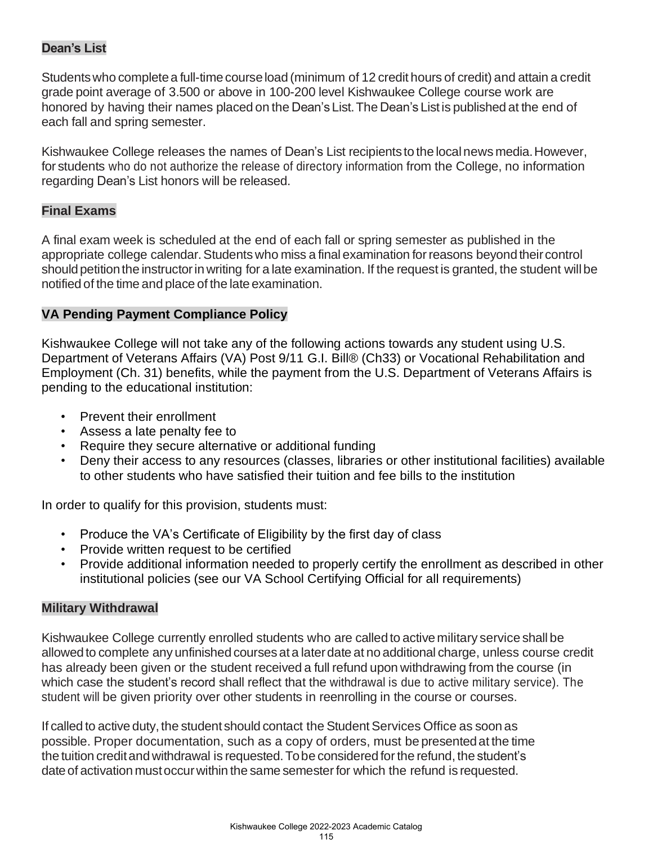# **Dean's List**

Studentswho completea full-timecourseload (minimum of 12 credit hours of credit) and attain a credit grade point average of 3.500 or above in 100-200 level Kishwaukee College course work are honored by having their names placed on the Dean's List.The Dean's Listis published at the end of each fall and spring semester.

Kishwaukee College releases the names of Dean's List recipients to the localnews media.However, for students who do not authorize the release of directory information from the College, no information regarding Dean's List honors will be released.

## **Final Exams**

A final exam week is scheduled at the end of each fall or spring semester as published in the appropriate college calendar. Students who miss a final examination for reasons beyond their control should petition the instructor in writing for a late examination. If the request is granted, the student will be notified of the time and place of the late examination.

## **VA Pending Payment Compliance Policy**

Kishwaukee College will not take any of the following actions towards any student using U.S. Department of Veterans Affairs (VA) Post 9/11 G.I. Bill® (Ch33) or Vocational Rehabilitation and Employment (Ch. 31) benefits, while the payment from the U.S. Department of Veterans Affairs is pending to the educational institution:

- Prevent their enrollment
- Assess a late penalty fee to
- Require they secure alternative or additional funding
- Deny their access to any resources (classes, libraries or other institutional facilities) available to other students who have satisfied their tuition and fee bills to the institution

In order to qualify for this provision, students must:

- Produce the VA's Certificate of Eligibility by the first day of class
- Provide written request to be certified
- Provide additional information needed to properly certify the enrollment as described in other institutional policies (see our VA School Certifying Official for all requirements)

## **Military Withdrawal**

Kishwaukee College currently enrolled students who are calledto activemilitary service shall be allowedto complete any unfinished courses at a laterdate at no additional charge, unless course credit has already been given or the student received a full refund upon withdrawing from the course (in which case the student's record shall reflect that the withdrawal is due to active military service). The student will be given priority over other students in reenrolling in the course or courses.

If called to active duty, the student should contact the Student Services Office as soon as possible. Proper documentation, such as a copy of orders, must be presentedat the time the tuition credit and withdrawal is requested. To be considered for the refund, the student's dateof activation mustoccurwithin the same semesterfor which the refund is requested.